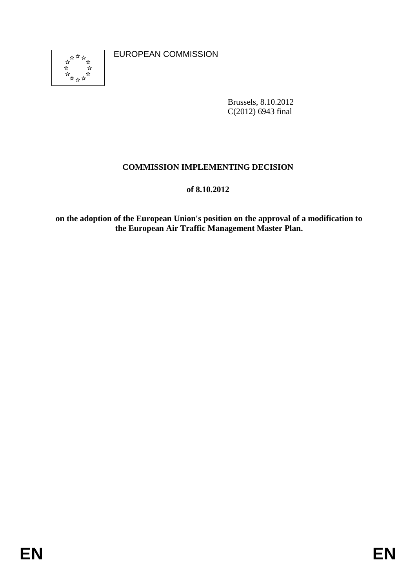**EUROPEAN COMMISSION** 



Brussels, 8.10.2012  $C(2012)$  6943 final

# **COMMISSION IMPLEMENTING DECISION**

#### **of**  $\overline{\phantom{a}}$ **of 8.10.2012**

EUROPEAN COMMISSION<br>  $\frac{1}{2}$ <br>  $\frac{1}{2}$ <br>  $\frac{1}{2}$ <br>  $\frac{1}{2}$ <br>  $\frac{1}{2}$ <br>  $\frac{1}{2}$ <br>  $\frac{1}{2}$ <br>  $\frac{1}{2}$ <br>  $\frac{1}{2}$ <br>  $\frac{1}{2}$ <br>  $\frac{1}{2}$ <br>  $\frac{1}{2}$ <br>  $\frac{1}{2}$ <br>  $\frac{1}{2}$ <br>
on the adoption of the European Air Traffic Ma **on the adoption of the European Union's position on the approval of a modification to the European Air Traffic Management Master Plan. on the adoption of the European Union's position on the approval of a modification to European Air Traffic Management Master Plan.**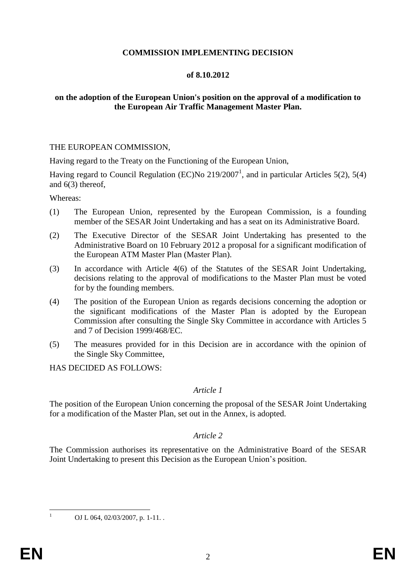#### **COMMISSION IMPLEMENTING DECISION**

#### **of 8.10.2012**

## **on the adoption of the European Union's position on the approval of a modification to the European Air Traffic Management Master Plan.**

#### THE EUROPEAN COMMISSION,

Having regard to the Treaty on the Functioning of the European Union,

Having regard to Council Regulation (EC)No  $219/2007<sup>1</sup>$ , and in particular Articles 5(2), 5(4) and 6(3) thereof,

Whereas:

- (1) The European Union, represented by the European Commission, is a founding member of the SESAR Joint Undertaking and has a seat on its Administrative Board.
- (2) The Executive Director of the SESAR Joint Undertaking has presented to the Administrative Board on 10 February 2012 a proposal for a significant modification of the European ATM Master Plan (Master Plan).
- (3) In accordance with Article 4(6) of the Statutes of the SESAR Joint Undertaking, decisions relating to the approval of modifications to the Master Plan must be voted for by the founding members.
- (4) The position of the European Union as regards decisions concerning the adoption or the significant modifications of the Master Plan is adopted by the European Commission after consulting the Single Sky Committee in accordance with Articles 5 and 7 of Decision 1999/468/EC.
- (5) The measures provided for in this Decision are in accordance with the opinion of the Single Sky Committee,

HAS DECIDED AS FOLLOWS:

## *Article 1*

The position of the European Union concerning the proposal of the SESAR Joint Undertaking for a modification of the Master Plan, set out in the Annex, is adopted.

## *Article 2*

The Commission authorises its representative on the Administrative Board of the SESAR Joint Undertaking to present this Decision as the European Union's position.

OJ L 064, 02/03/2007, p. 1-11.

 $\overline{1}$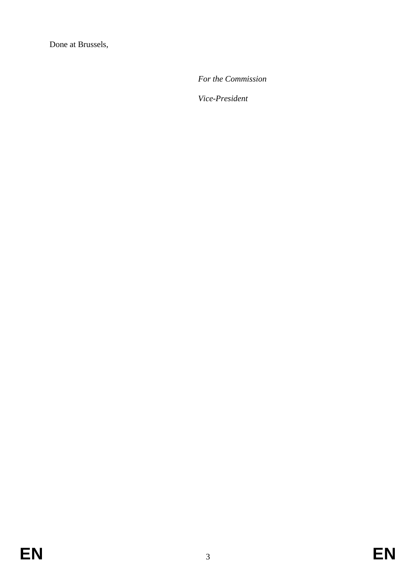Done at Brussels,

*For the Commission*

*Vice-President*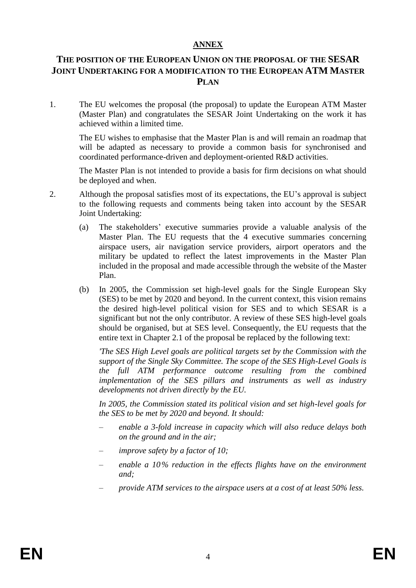## **ANNEX**

# **THE POSITION OF THE EUROPEAN UNION ON THE PROPOSAL OF THE SESAR JOINT UNDERTAKING FOR A MODIFICATION TO THE EUROPEAN ATM MASTER PLAN**

1. The EU welcomes the proposal (the proposal) to update the European ATM Master (Master Plan) and congratulates the SESAR Joint Undertaking on the work it has achieved within a limited time.

The EU wishes to emphasise that the Master Plan is and will remain an roadmap that will be adapted as necessary to provide a common basis for synchronised and coordinated performance-driven and deployment-oriented R&D activities.

The Master Plan is not intended to provide a basis for firm decisions on what should be deployed and when.

- 2. Although the proposal satisfies most of its expectations, the EU's approval is subject to the following requests and comments being taken into account by the SESAR Joint Undertaking:
	- (a) The stakeholders' executive summaries provide a valuable analysis of the Master Plan. The EU requests that the 4 executive summaries concerning airspace users, air navigation service providers, airport operators and the military be updated to reflect the latest improvements in the Master Plan included in the proposal and made accessible through the website of the Master Plan.
	- (b) In 2005, the Commission set high-level goals for the Single European Sky (SES) to be met by 2020 and beyond. In the current context, this vision remains the desired high-level political vision for SES and to which SESAR is a significant but not the only contributor. A review of these SES high-level goals should be organised, but at SES level. Consequently, the EU requests that the entire text in Chapter 2.1 of the proposal be replaced by the following text:

*'The SES High Level goals are political targets set by the Commission with the support of the Single Sky Committee. The scope of the SES High-Level Goals is the full ATM performance outcome resulting from the combined implementation of the SES pillars and instruments as well as industry developments not driven directly by the EU.* 

*In 2005, the Commission stated its political vision and set high-level goals for the SES to be met by 2020 and beyond. It should:*

- *enable a 3-fold increase in capacity which will also reduce delays both on the ground and in the air;*
- *improve safety by a factor of 10;*
- *enable a 10% reduction in the effects flights have on the environment and;*
- *provide ATM services to the airspace users at a cost of at least 50% less.*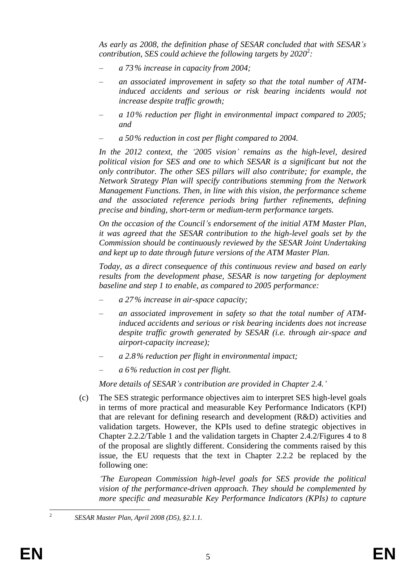*As early as 2008, the definition phase of SESAR concluded that with SESAR's contribution, SES could achieve the following targets by 2020<sup>2</sup>:* 

- *a 73% increase in capacity from 2004;*
- *an associated improvement in safety so that the total number of ATMinduced accidents and serious or risk bearing incidents would not increase despite traffic growth;*
- *a 10% reduction per flight in environmental impact compared to 2005; and*
- *a 50% reduction in cost per flight compared to 2004.*

*In the 2012 context, the '2005 vision' remains as the high-level, desired political vision for SES and one to which SESAR is a significant but not the only contributor. The other SES pillars will also contribute; for example, the Network Strategy Plan will specify contributions stemming from the Network Management Functions. Then, in line with this vision, the performance scheme and the associated reference periods bring further refinements, defining precise and binding, short-term or medium-term performance targets.*

*On the occasion of the Council's endorsement of the initial ATM Master Plan, it was agreed that the SESAR contribution to the high-level goals set by the Commission should be continuously reviewed by the SESAR Joint Undertaking and kept up to date through future versions of the ATM Master Plan.*

*Today, as a direct consequence of this continuous review and based on early results from the development phase, SESAR is now targeting for deployment baseline and step 1 to enable, as compared to 2005 performance:*

- *a 27% increase in air-space capacity;*
- *an associated improvement in safety so that the total number of ATMinduced accidents and serious or risk bearing incidents does not increase despite traffic growth generated by SESAR (i.e. through air-space and airport-capacity increase);*
- *a 2.8% reduction per flight in environmental impact;*
- *a 6% reduction in cost per flight.*

*More details of SESAR's contribution are provided in Chapter 2.4.'*

(c) The SES strategic performance objectives aim to interpret SES high-level goals in terms of more practical and measurable Key Performance Indicators (KPI) that are relevant for defining research and development (R&D) activities and validation targets. However, the KPIs used to define strategic objectives in Chapter 2.2.2/Table 1 and the validation targets in Chapter 2.4.2/Figures 4 to 8 of the proposal are slightly different. Considering the comments raised by this issue, the EU requests that the text in Chapter 2.2.2 be replaced by the following one:

*'The European Commission high-level goals for SES provide the political vision of the performance-driven approach. They should be complemented by more specific and measurable Key Performance Indicators (KPIs) to capture* 

 $\frac{1}{2}$ 

*SESAR Master Plan, April 2008 (D5), §2.1.1.*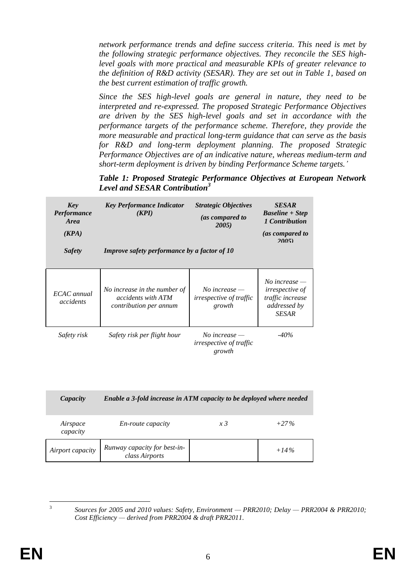*network performance trends and define success criteria. This need is met by the following strategic performance objectives. They reconcile the SES highlevel goals with more practical and measurable KPIs of greater relevance to the definition of R&D activity (SESAR). They are set out in Table 1, based on the best current estimation of traffic growth.*

*Since the SES high-level goals are general in nature, they need to be interpreted and re-expressed. The proposed Strategic Performance Objectives are driven by the SES high-level goals and set in accordance with the performance targets of the performance scheme. Therefore, they provide the more measurable and practical long-term guidance that can serve as the basis for R&D and long-term deployment planning. The proposed Strategic Performance Objectives are of an indicative nature, whereas medium-term and short-term deployment is driven by binding Performance Scheme targets.'*

*Table 1: Proposed Strategic Performance Objectives at European Network Level and SESAR Contribution<sup>3</sup>*

| Key<br><i>Performance</i><br><b>Area</b><br>(KPA)<br><b>Safety</b> | <b>Key Performance Indicator</b><br>(KPI)<br>Improve safety performance by a factor of 10 | <b>Strategic Objectives</b><br>(as compared to<br>2005)     | <b>SESAR</b><br><b>Baseline</b> + Step<br>1 Contribution<br>(as compared to<br>20051          |
|--------------------------------------------------------------------|-------------------------------------------------------------------------------------------|-------------------------------------------------------------|-----------------------------------------------------------------------------------------------|
| ECAC annual<br>accidents                                           | No increase in the number of<br><i>accidents with ATM</i><br>contribution per annum       | No increase $-$<br><i>irrespective of traffic</i><br>growth | No increase $-$<br><i>irrespective of</i><br>traffic increase<br>addressed by<br><b>SESAR</b> |
| Safety risk                                                        | Safety risk per flight hour                                                               | No increase $-$<br>irrespective of traffic<br>growth        | $-40\%$                                                                                       |

| Capacity             | Enable a 3-fold increase in ATM capacity to be deployed where needed |            |         |
|----------------------|----------------------------------------------------------------------|------------|---------|
| Airspace<br>capacity | <i>En-route capacity</i>                                             | $x\bar{3}$ | $+27\%$ |
| Airport capacity     | Runway capacity for best-in-<br>class Airports                       |            | $+14\%$ |

*Sources for 2005 and 2010 values: Safety, Environment — PRR2010; Delay — PRR2004 & PRR2010; Cost Efficiency — derived from PRR2004 & draft PRR2011.*

 $\frac{1}{3}$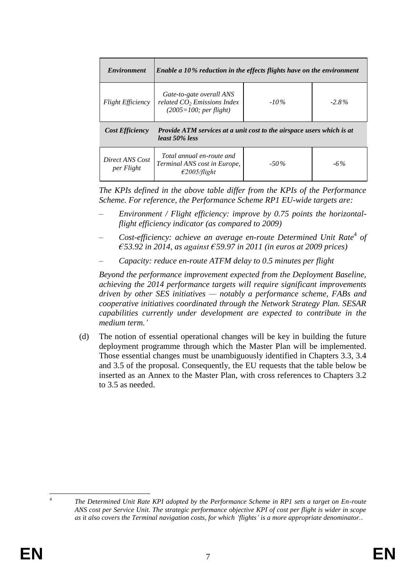| <i><b>Environment</b></i>                                                                                                | Enable a 10% reduction in the effects flights have on the environment                 |         |          |
|--------------------------------------------------------------------------------------------------------------------------|---------------------------------------------------------------------------------------|---------|----------|
| <b>Flight Efficiency</b>                                                                                                 | Gate-to-gate overall ANS<br>related $CO2$ Emissions Index<br>$(2005=100;$ per flight) | $-10\%$ | $-2.8\%$ |
| <b>Cost Efficiency</b><br><b>Provide ATM services at a unit cost to the airspace users which is at</b><br>least 50% less |                                                                                       |         |          |
| Direct ANS Cost<br>per Flight                                                                                            | Total annual en-route and<br>Terminal ANS cost in Europe,<br>$\epsilon$ 2005/flight   | $-50\%$ | $-6\%$   |

*The KPIs defined in the above table differ from the KPIs of the Performance Scheme. For reference, the Performance Scheme RP1 EU-wide targets are:*

- *Environment / Flight efficiency: improve by 0.75 points the horizontalflight efficiency indicator (as compared to 2009)*
- Cost-efficiency: achieve an average en-route Determined Unit Rate<sup>4</sup> of *€53.92 in 2014, as against €59.97 in 2011 (in euros at 2009 prices)*
- *Capacity: reduce en-route ATFM delay to 0.5 minutes per flight*

*Beyond the performance improvement expected from the Deployment Baseline, achieving the 2014 performance targets will require significant improvements driven by other SES initiatives — notably a performance scheme, FABs and cooperative initiatives coordinated through the Network Strategy Plan. SESAR capabilities currently under development are expected to contribute in the medium term.'*

(d) The notion of essential operational changes will be key in building the future deployment programme through which the Master Plan will be implemented. Those essential changes must be unambiguously identified in Chapters 3.3, 3.4 and 3.5 of the proposal. Consequently, the EU requests that the table below be inserted as an Annex to the Master Plan, with cross references to Chapters 3.2 to 3.5 as needed.

 $\overline{a}$ 4

*The Determined Unit Rate KPI adopted by the Performance Scheme in RP1 sets a target on En-route ANS cost per Service Unit. The strategic performance objective KPI of cost per flight is wider in scope as it also covers the Terminal navigation costs, for which 'flights' is a more appropriate denominator.*.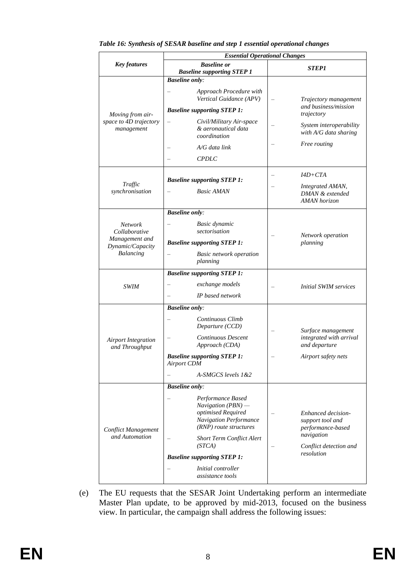|                                                          |                                                                                                                           | <b>Essential Operational Changes</b>                                      |  |
|----------------------------------------------------------|---------------------------------------------------------------------------------------------------------------------------|---------------------------------------------------------------------------|--|
| <b>Key features</b>                                      | <b>Baseline</b> or<br><b>Baseline supporting STEP 1</b>                                                                   | <i><b>STEP1</b></i>                                                       |  |
| Moving from air-<br>space to 4D trajectory<br>management | <b>Baseline only:</b><br>Approach Procedure with<br>Vertical Guidance (APV)                                               | Trajectory management                                                     |  |
|                                                          | <b>Baseline supporting STEP 1:</b>                                                                                        | and business/mission<br>trajectory                                        |  |
|                                                          | Civil/Military Air-space<br>& aeronautical data<br>coordination                                                           | System interoperability<br>with A/G data sharing                          |  |
|                                                          | A/G data link                                                                                                             | Free routing                                                              |  |
|                                                          | <b>CPDLC</b>                                                                                                              |                                                                           |  |
| Traffic<br>synchronisation                               | <b>Baseline supporting STEP 1:</b><br><b>Basic AMAN</b>                                                                   | $I4D+CTA$<br>Integrated AMAN,<br>DMAN & extended<br><b>AMAN</b> horizon   |  |
|                                                          | <b>Baseline only:</b>                                                                                                     |                                                                           |  |
| <b>Network</b><br>Collaborative                          | Basic dynamic<br>sectorisation                                                                                            | Network operation                                                         |  |
| Management and<br>Dynamic/Capacity                       | <b>Baseline supporting STEP 1:</b>                                                                                        | planning                                                                  |  |
| Balancing                                                | <b>Basic network operation</b><br>planning                                                                                |                                                                           |  |
|                                                          | <b>Baseline supporting STEP 1:</b>                                                                                        |                                                                           |  |
| <b>SWIM</b>                                              | exchange models                                                                                                           | <b>Initial SWIM services</b>                                              |  |
|                                                          | IP based network                                                                                                          |                                                                           |  |
|                                                          | <b>Baseline only:</b>                                                                                                     |                                                                           |  |
|                                                          | Continuous Climb<br>Departure (CCD)                                                                                       | Surface management                                                        |  |
| <b>Airport Integration</b><br>and Throughput             | Continuous Descent<br>Approach (CDA)                                                                                      | integrated with arrival<br>and departure                                  |  |
|                                                          | <b>Baseline supporting STEP 1:</b><br><b>Airport CDM</b>                                                                  | Airport safety nets                                                       |  |
|                                                          | A-SMGCS levels 1&2                                                                                                        |                                                                           |  |
| <b>Conflict Management</b><br>and Automation             | <b>Baseline only:</b>                                                                                                     |                                                                           |  |
|                                                          | Performance Based<br>$Navigation(PBN)$ —<br>optimised Required<br><b>Navigation Performance</b><br>(RNP) route structures | Enhanced decision-<br>support tool and<br>performance-based<br>navigation |  |
|                                                          | <b>Short Term Conflict Alert</b><br>(STCA)                                                                                | Conflict detection and                                                    |  |
|                                                          | <b>Baseline supporting STEP 1:</b>                                                                                        | resolution                                                                |  |
|                                                          | <i>Initial controller</i><br>assistance tools                                                                             |                                                                           |  |

#### *Table 16: Synthesis of SESAR baseline and step 1 essential operational changes*

(e) The EU requests that the SESAR Joint Undertaking perform an intermediate Master Plan update, to be approved by mid-2013, focused on the business view. In particular, the campaign shall address the following issues: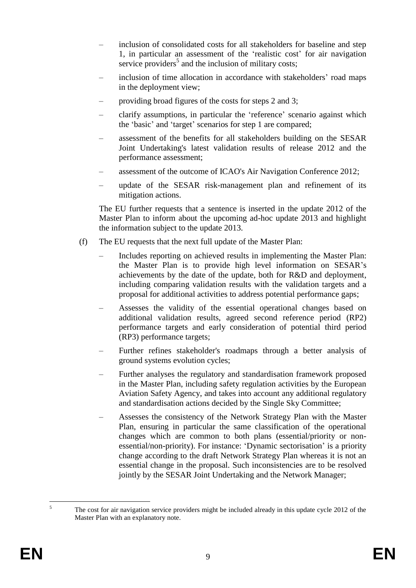- inclusion of consolidated costs for all stakeholders for baseline and step 1, in particular an assessment of the 'realistic cost' for air navigation service providers<sup>5</sup> and the inclusion of military costs;
- inclusion of time allocation in accordance with stakeholders' road maps in the deployment view;
- providing broad figures of the costs for steps 2 and 3;
- clarify assumptions, in particular the 'reference' scenario against which the 'basic' and 'target' scenarios for step 1 are compared;
- assessment of the benefits for all stakeholders building on the SESAR Joint Undertaking's latest validation results of release 2012 and the performance assessment;
- assessment of the outcome of ICAO's Air Navigation Conference 2012;
- update of the SESAR risk-management plan and refinement of its mitigation actions.

The EU further requests that a sentence is inserted in the update 2012 of the Master Plan to inform about the upcoming ad-hoc update 2013 and highlight the information subject to the update 2013.

- (f) The EU requests that the next full update of the Master Plan:
	- Includes reporting on achieved results in implementing the Master Plan: the Master Plan is to provide high level information on SESAR's achievements by the date of the update, both for R&D and deployment, including comparing validation results with the validation targets and a proposal for additional activities to address potential performance gaps;
	- Assesses the validity of the essential operational changes based on additional validation results, agreed second reference period (RP2) performance targets and early consideration of potential third period (RP3) performance targets;
	- Further refines stakeholder's roadmaps through a better analysis of ground systems evolution cycles;
	- Further analyses the regulatory and standardisation framework proposed in the Master Plan, including safety regulation activities by the European Aviation Safety Agency, and takes into account any additional regulatory and standardisation actions decided by the Single Sky Committee;
	- Assesses the consistency of the Network Strategy Plan with the Master Plan, ensuring in particular the same classification of the operational changes which are common to both plans (essential/priority or nonessential/non-priority). For instance: 'Dynamic sectorisation' is a priority change according to the draft Network Strategy Plan whereas it is not an essential change in the proposal. Such inconsistencies are to be resolved jointly by the SESAR Joint Undertaking and the Network Manager;

 $\overline{5}$ The cost for air navigation service providers might be included already in this update cycle 2012 of the Master Plan with an explanatory note.